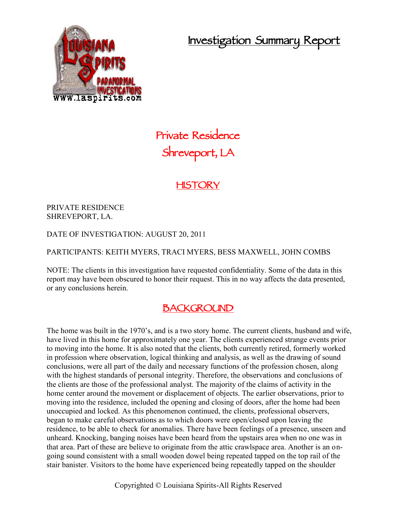**Investigation Summary Report**



# **Private Residence Shreveport, LA**

## **HISTORY**

PRIVATE RESIDENCE SHREVEPORT, LA.

DATE OF INVESTIGATION: AUGUST 20, 2011

#### PARTICIPANTS: KEITH MYERS, TRACI MYERS, BESS MAXWELL, JOHN COMBS

NOTE: The clients in this investigation have requested confidentiality. Some of the data in this report may have been obscured to honor their request. This in no way affects the data presented, or any conclusions herein.

## **BACKGROUND**

The home was built in the 1970's, and is a two story home. The current clients, husband and wife, have lived in this home for approximately one year. The clients experienced strange events prior to moving into the home. It is also noted that the clients, both currently retired, formerly worked in profession where observation, logical thinking and analysis, as well as the drawing of sound conclusions, were all part of the daily and necessary functions of the profession chosen, along with the highest standards of personal integrity. Therefore, the observations and conclusions of the clients are those of the professional analyst. The majority of the claims of activity in the home center around the movement or displacement of objects. The earlier observations, prior to moving into the residence, included the opening and closing of doors, after the home had been unoccupied and locked. As this phenomenon continued, the clients, professional observers, began to make careful observations as to which doors were open/closed upon leaving the residence, to be able to check for anomalies. There have been feelings of a presence, unseen and unheard. Knocking, banging noises have been heard from the upstairs area when no one was in that area. Part of these are believe to originate from the attic crawlspace area. Another is an on going sound consistent with a small wooden dowel being repeated tapped on the top rail of the stair banister. Visitors to the home have experienced being repeatedly tapped on the shoulder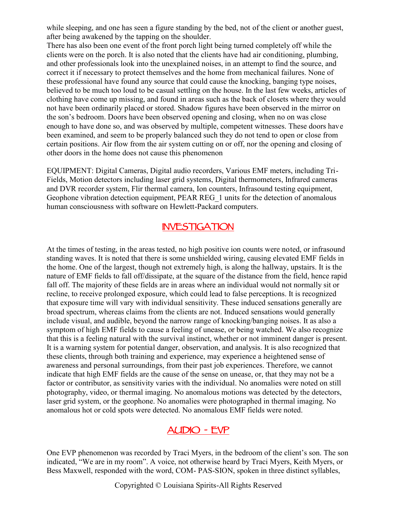while sleeping, and one has seen a figure standing by the bed, not of the client or another guest, after being awakened by the tapping on the shoulder.

There has also been one event of the front porch light being turned completely off while the clients were on the porch. It is also noted that the clients have had air conditioning, plumbing, and other professionals look into the unexplained noises, in an attempt to find the source, and correct it if necessary to protect themselves and the home from mechanical failures. None of these professional have found any source that could cause the knocking, banging type noises, believed to be much too loud to be casual settling on the house. In the last few weeks, articles of clothing have come up missing, and found in areas such as the back of closets where they would not have been ordinarily placed or stored. Shadow figures have been observed in the mirror on the son's bedroom. Doors have been observed opening and closing, when no on was close enough to have done so, and was observed by multiple, competent witnesses. These doors have been examined, and seem to be properly balanced such they do not tend to open or close from certain positions. Air flow from the air system cutting on or off, nor the opening and closing of other doors in the home does not cause this phenomenon

EQUIPMENT: Digital Cameras, Digital audio recorders, Various EMF meters, including Tri- Fields, Motion detectors including laser grid systems, Digital thermometers, Infrared cameras and DVR recorder system, Flir thermal camera, Ion counters, Infrasound testing equipment, Geophone vibration detection equipment, PEAR REG\_1 units for the detection of anomalous human consciousness with software on Hewlett-Packard computers.

#### **INVESTIGATION**

At the times of testing, in the areas tested, no high positive ion counts were noted, or infrasound standing waves. It is noted that there is some unshielded wiring, causing elevated EMF fields in the home. One of the largest, though not extremely high, is along the hallway, upstairs. It is the nature of EMF fields to fall off/dissipate, at the square of the distance from the field, hence rapid fall off. The majority of these fields are in areas where an individual would not normally sit or recline, to receive prolonged exposure, which could lead to false perceptions. It is recognized that exposure time will vary with individual sensitivity. These induced sensations generally are broad spectrum, whereas claims from the clients are not. Induced sensations would generally include visual, and audible, beyond the narrow range of knocking/banging noises. It as also a symptom of high EMF fields to cause a feeling of unease, or being watched. We also recognize that this is a feeling natural with the survival instinct, whether or not imminent danger is present. It is a warning system for potential danger, observation, and analysis. It is also recognized that these clients, through both training and experience, may experience a heightened sense of awareness and personal surroundings, from their past job experiences. Therefore, we cannot indicate that high EMF fields are the cause of the sense on unease, or, that they may not be a factor or contributor, as sensitivity varies with the individual. No anomalies were noted on still photography, video, or thermal imaging. No anomalous motions was detected by the detectors, laser grid system, or the geophone. No anomalies were photographed in thermal imaging. No anomalous hot or cold spots were detected. No anomalous EMF fields were noted.

## **AUDIO - EVP**

One EVP phenomenon was recorded by Traci Myers, in the bedroom of the client's son. The son indicated, "We are in my room". A voice, not otherwise heard by Traci Myers, Keith Myers, or Bess Maxwell, responded with the word, COM- PAS-SION, spoken in three distinct syllables,

Copyrighted © Louisiana Spirits-All Rights Reserved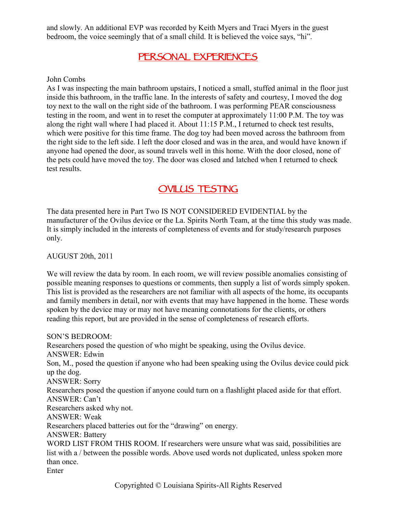and slowly. An additional EVP was recorded by Keith Myers and Traci Myers in the guest bedroom, the voice seemingly that of a small child. It is believed the voice says, "hi".

## **PERSONAL EXPERIENCES**

#### John Combs

As I was inspecting the main bathroom upstairs, I noticed a small, stuffed animal in the floor just inside this bathroom, in the traffic lane. In the interests of safety and courtesy, I moved the dog toy next to the wall on the right side of the bathroom. I was performing PEAR consciousness testing in the room, and went in to reset the computer at approximately 11:00 P.M. The toy was along the right wall where I had placed it. About 11:15 P.M., I returned to check test results, which were positive for this time frame. The dog toy had been moved across the bathroom from the right side to the left side. I left the door closed and was in the area, and would have known if anyone had opened the door, as sound travels well in this home. With the door closed, none of the pets could have moved the toy. The door was closed and latched when I returned to check test results.

## **OVILUS TESTING**

The data presented here in Part Two IS NOT CONSIDERED EVIDENTIAL by the manufacturer of the Ovilus device or the La. Spirits North Team, at the time this study was made. It is simply included in the interests of completeness of events and for study/research purposes only.

#### AUGUST 20th, 2011

We will review the data by room. In each room, we will review possible anomalies consisting of possible meaning responses to questions or comments, then supply a list of words simply spoken. This list is provided as the researchers are not familiar with all aspects of the home, its occupants and family members in detail, nor with events that may have happened in the home. These words spoken by the device may or may not have meaning connotations for the clients, or others reading this report, but are provided in the sense of completeness of research efforts.

SON'S BEDROOM: Researchers posed the question of who might be speaking, using the Ovilus device. ANSWER: Edwin Son, M., posed the question if anyone who had been speaking using the Ovilus device could pick up the dog. ANSWER: Sorry Researchers posed the question if anyone could turn on a flashlight placed aside for that effort. ANSWER: Can't Researchers asked why not. ANSWER: Weak Researchers placed batteries out for the "drawing" on energy. ANSWER: Battery WORD LIST FROM THIS ROOM. If researchers were unsure what was said, possibilities are list with a / between the possible words. Above used words not duplicated, unless spoken more than once. Enter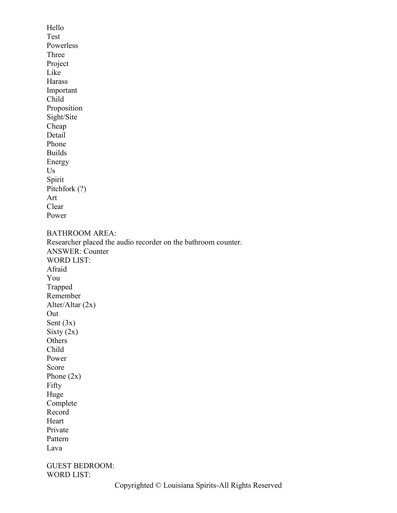Hello Test Powerless Three Project Like Harass Important Child Proposition Sight/Site Cheap Detail Phone Builds Energy Us Spirit Pitchfork (?) Art Clear Power BATHROOM AREA: Researcher placed the audio recorder on the bathroom counter. ANSWER: Counter WORD LIST: Afraid You Trapped Remember Alter/Altar (2x) Out Sent  $(3x)$ Sixty  $(2x)$ **Others** Child Power Score Phone (2x) Fifty Huge Complete Record Heart Private Pattern Lava GUEST BEDROOM: